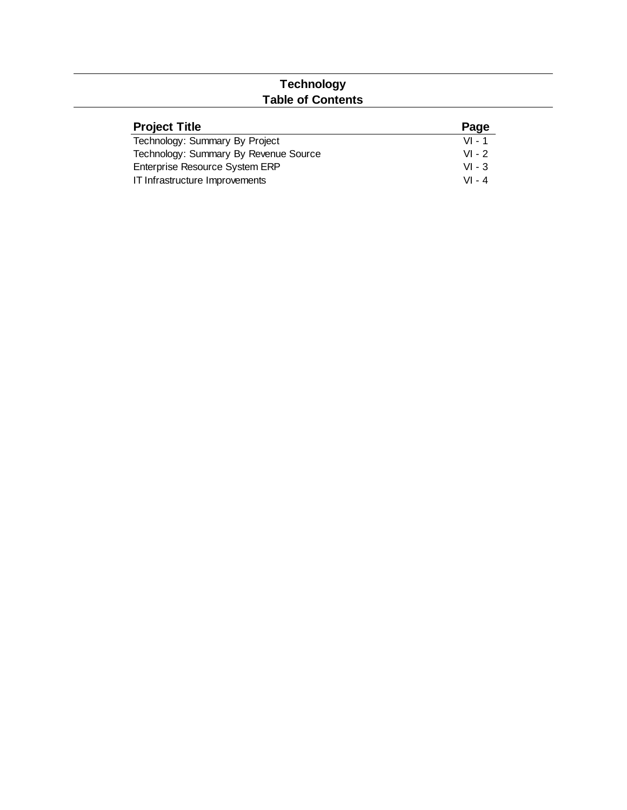## **Technology Table of Contents**

| <b>Project Title</b>                  | Page     |
|---------------------------------------|----------|
| Technology: Summary By Project        | $VI - 1$ |
| Technology: Summary By Revenue Source | $VI - 2$ |
| Enterprise Resource System ERP        | $VI - 3$ |
| IT Infrastructure Improvements        | $VI - 4$ |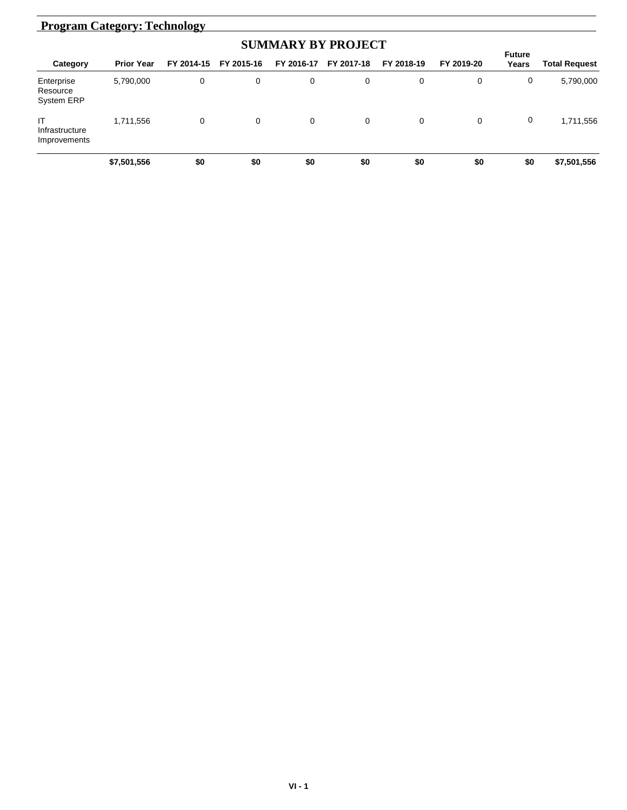# **Program Category: Technology**

| <b>SUMMARY BY PROJECT</b>                   |                   |            |            |            |            |            |            |                        |               |  |
|---------------------------------------------|-------------------|------------|------------|------------|------------|------------|------------|------------------------|---------------|--|
| Category                                    | <b>Prior Year</b> | FY 2014-15 | FY 2015-16 | FY 2016-17 | FY 2017-18 | FY 2018-19 | FY 2019-20 | <b>Future</b><br>Years | Total Request |  |
| Enterprise<br>Resource<br><b>System ERP</b> | 5,790,000         | 0          | 0          | 0          | 0          | 0          | 0          | 0                      | 5,790,000     |  |
| IT<br>Infrastructure<br>Improvements        | 1,711,556         | 0          | 0          | 0          | 0          | 0          | 0          | 0                      | 1,711,556     |  |
|                                             | \$7,501,556       | \$0        | \$0        | \$0        | \$0        | \$0        | \$0        | \$0                    | \$7,501,556   |  |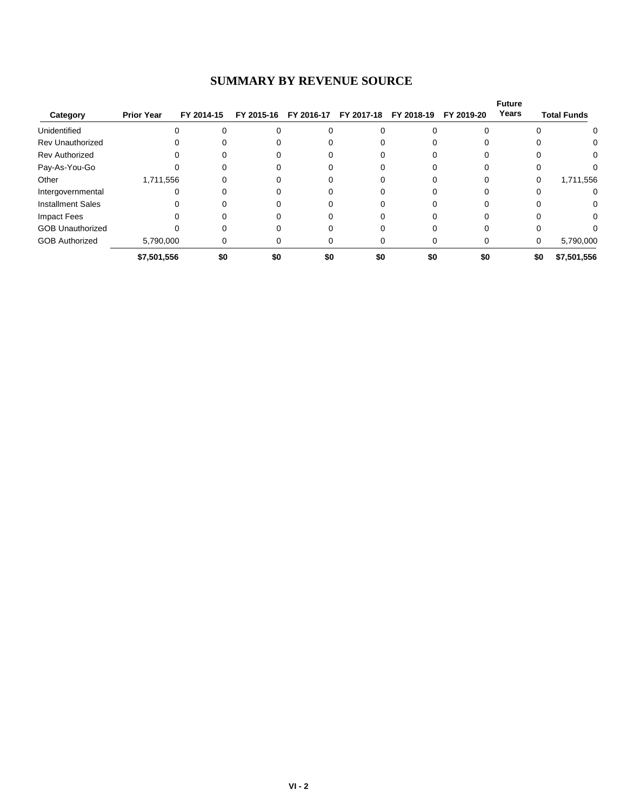#### **SUMMARY BY REVENUE SOURCE**

| Category                 | <b>Prior Year</b> | FY 2014-15 | FY 2015-16 | FY 2016-17 | FY 2017-18 | FY 2018-19 | FY 2019-20 | <b>Future</b><br>Years | <b>Total Funds</b> |
|--------------------------|-------------------|------------|------------|------------|------------|------------|------------|------------------------|--------------------|
| Unidentified             |                   |            |            |            |            |            |            |                        |                    |
| <b>Rev Unauthorized</b>  |                   |            |            |            |            |            |            |                        | 0                  |
| <b>Rev Authorized</b>    |                   |            |            |            |            |            |            |                        | 0                  |
| Pay-As-You-Go            |                   |            |            |            |            |            |            |                        |                    |
| Other                    | 1,711,556         |            |            |            |            |            |            | 0                      | 1,711,556          |
| Intergovernmental        |                   |            |            |            |            |            |            |                        | 0                  |
| <b>Installment Sales</b> |                   |            |            |            |            |            |            |                        | 0                  |
| Impact Fees              |                   |            |            |            |            |            |            |                        | $\Omega$           |
| <b>GOB Unauthorized</b>  |                   |            |            |            |            |            |            |                        |                    |
| <b>GOB Authorized</b>    | 5,790,000         |            |            |            |            |            |            | 0                      | 5,790,000          |
|                          | \$7,501,556       | \$0        | \$0        | \$0        | \$0        | \$0        | \$0        | \$0                    | \$7,501,556        |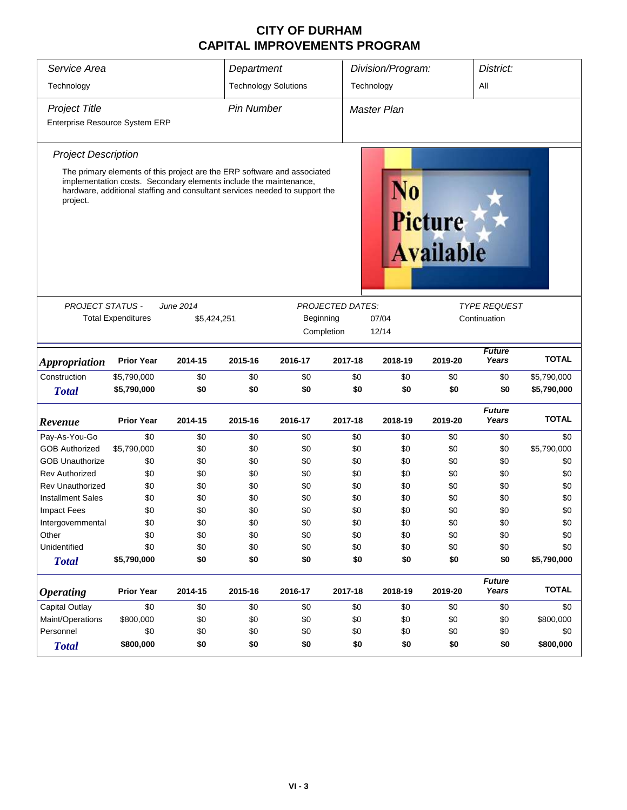#### **CITY OF DURHAM CAPITAL IMPROVEMENTS PROGRAM**

| Service Area                   |                           |                                                                                                                                                                                                                              | Department                  |                                    |                         | Division/Program: |         |                        | District:    |  |
|--------------------------------|---------------------------|------------------------------------------------------------------------------------------------------------------------------------------------------------------------------------------------------------------------------|-----------------------------|------------------------------------|-------------------------|-------------------|---------|------------------------|--------------|--|
| Technology                     |                           |                                                                                                                                                                                                                              | <b>Technology Solutions</b> |                                    |                         | Technology<br>All |         |                        |              |  |
| <b>Project Title</b>           | <b>Pin Number</b>         |                                                                                                                                                                                                                              |                             | <b>Master Plan</b>                 |                         |                   |         |                        |              |  |
| Enterprise Resource System ERP |                           |                                                                                                                                                                                                                              |                             |                                    |                         |                   |         |                        |              |  |
| <b>Project Description</b>     |                           |                                                                                                                                                                                                                              |                             |                                    |                         |                   |         |                        |              |  |
| project.                       |                           | The primary elements of this project are the ERP software and associated<br>implementation costs. Secondary elements include the maintenance,<br>hardware, additional staffing and consultant services needed to support the |                             | <b>Picture</b><br><b>Available</b> |                         |                   |         |                        |              |  |
| <b>PROJECT STATUS -</b>        |                           | June 2014                                                                                                                                                                                                                    |                             |                                    | <b>PROJECTED DATES:</b> |                   |         | <b>TYPE REQUEST</b>    |              |  |
|                                | <b>Total Expenditures</b> | \$5,424,251                                                                                                                                                                                                                  |                             | Beginning                          |                         | 07/04             |         | Continuation           |              |  |
|                                |                           |                                                                                                                                                                                                                              |                             | Completion                         |                         | 12/14             |         |                        |              |  |
|                                |                           |                                                                                                                                                                                                                              |                             |                                    |                         |                   |         |                        |              |  |
| <i><b>Appropriation</b></i>    | <b>Prior Year</b>         | 2014-15                                                                                                                                                                                                                      | 2015-16                     | 2016-17                            | 2017-18                 | 2018-19           | 2019-20 | <b>Future</b><br>Years | <b>TOTAL</b> |  |
| Construction                   | \$5,790,000               | \$0                                                                                                                                                                                                                          | \$0                         | \$0                                | \$0                     | \$0               | \$0     | \$0                    | \$5,790,000  |  |
| <b>Total</b>                   | \$5,790,000               | \$0                                                                                                                                                                                                                          | \$0                         | \$0                                | \$0                     | \$0               | \$0     | \$0                    | \$5,790,000  |  |
| Revenue                        | <b>Prior Year</b>         | 2014-15                                                                                                                                                                                                                      | 2015-16                     | 2016-17                            | 2017-18                 | 2018-19           | 2019-20 | <b>Future</b><br>Years | <b>TOTAL</b> |  |
| Pay-As-You-Go                  | \$0                       | \$0                                                                                                                                                                                                                          | \$0                         | \$0                                | \$0                     | \$0               | \$0     | \$0                    | \$0          |  |
| <b>GOB Authorized</b>          | \$5,790,000               | \$0                                                                                                                                                                                                                          | \$0                         | \$0                                | \$0                     | \$0               | \$0     | \$0                    | \$5,790,000  |  |
| <b>GOB Unauthorize</b>         | \$0                       | \$0                                                                                                                                                                                                                          | \$0                         | \$0                                | \$0                     | \$0               | \$0     | \$0                    | \$0          |  |
| <b>Rev Authorized</b>          | \$0                       | \$0                                                                                                                                                                                                                          | \$0                         | \$0                                | \$0                     | \$0               | \$0     | \$0                    | \$0          |  |
| <b>Rev Unauthorized</b>        | \$0                       | \$0                                                                                                                                                                                                                          | \$0                         | \$0                                | \$0                     | \$0               | \$0     | \$0                    | \$0          |  |
| <b>Installment Sales</b>       | \$0                       | \$0                                                                                                                                                                                                                          | \$0                         | \$0                                | \$0                     | \$0               | \$0     | \$0                    | \$0          |  |
| <b>Impact Fees</b>             | \$0                       | \$0                                                                                                                                                                                                                          | \$0                         | \$0                                | \$0                     | \$0               | \$0     | \$0                    | \$0          |  |
| Intergovernmental              | \$0                       | \$0                                                                                                                                                                                                                          | \$0                         | \$0                                | \$0                     | \$0               | \$0     | \$0                    | \$0          |  |
| Other                          | \$0                       | \$0                                                                                                                                                                                                                          | \$0                         | \$0                                | \$0                     | \$0               | \$0     | \$0                    | \$0          |  |
| Unidentified                   | \$0                       | \$0                                                                                                                                                                                                                          | \$0                         | \$0                                | \$0                     | \$0               | \$0     | \$0                    | \$0          |  |
| <b>Total</b>                   | \$5,790,000               | \$0                                                                                                                                                                                                                          | \$0                         | \$0                                | \$0                     | \$0               | \$0     | \$0                    | \$5,790,000  |  |
| <b>Operating</b>               | <b>Prior Year</b>         | 2014-15                                                                                                                                                                                                                      | 2015-16                     | 2016-17                            | 2017-18                 | 2018-19           | 2019-20 | <b>Future</b><br>Years | <b>TOTAL</b> |  |
| Capital Outlay                 | \$0                       | \$0                                                                                                                                                                                                                          | \$0                         | \$0                                | \$0                     | \$0               | \$0     | \$0                    | \$0          |  |
| Maint/Operations               | \$800,000                 | \$0                                                                                                                                                                                                                          | \$0                         | \$0                                | \$0                     | \$0               | \$0     | \$0                    | \$800,000    |  |
| Personnel                      | \$0                       | \$0                                                                                                                                                                                                                          | \$0                         | \$0                                | \$0                     | \$0               | \$0     | \$0                    | \$0          |  |
| <b>Total</b>                   | \$800,000                 | \$0                                                                                                                                                                                                                          | \$0                         | \$0                                | \$0                     | \$0               | \$0     | \$0                    | \$800,000    |  |